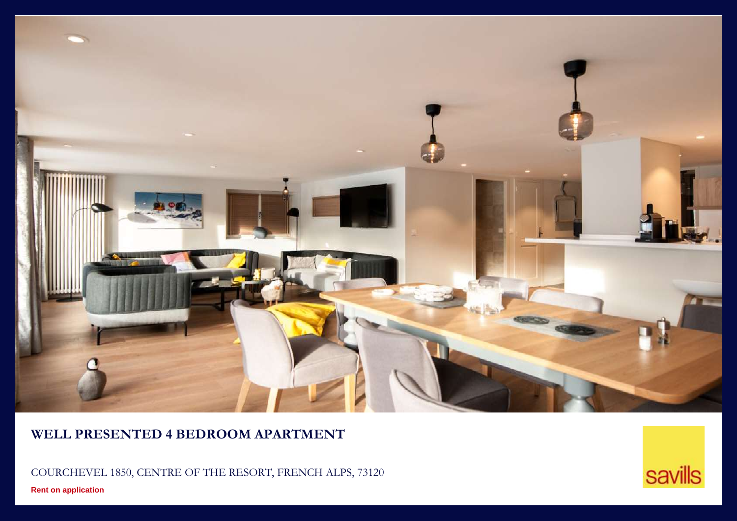

## **WELL PRESENTED 4 BEDROOM APARTMENT**

COURCHEVEL 1850, CENTRE OF THE RESORT, FRENCH ALPS, 73120

**Rent on application**